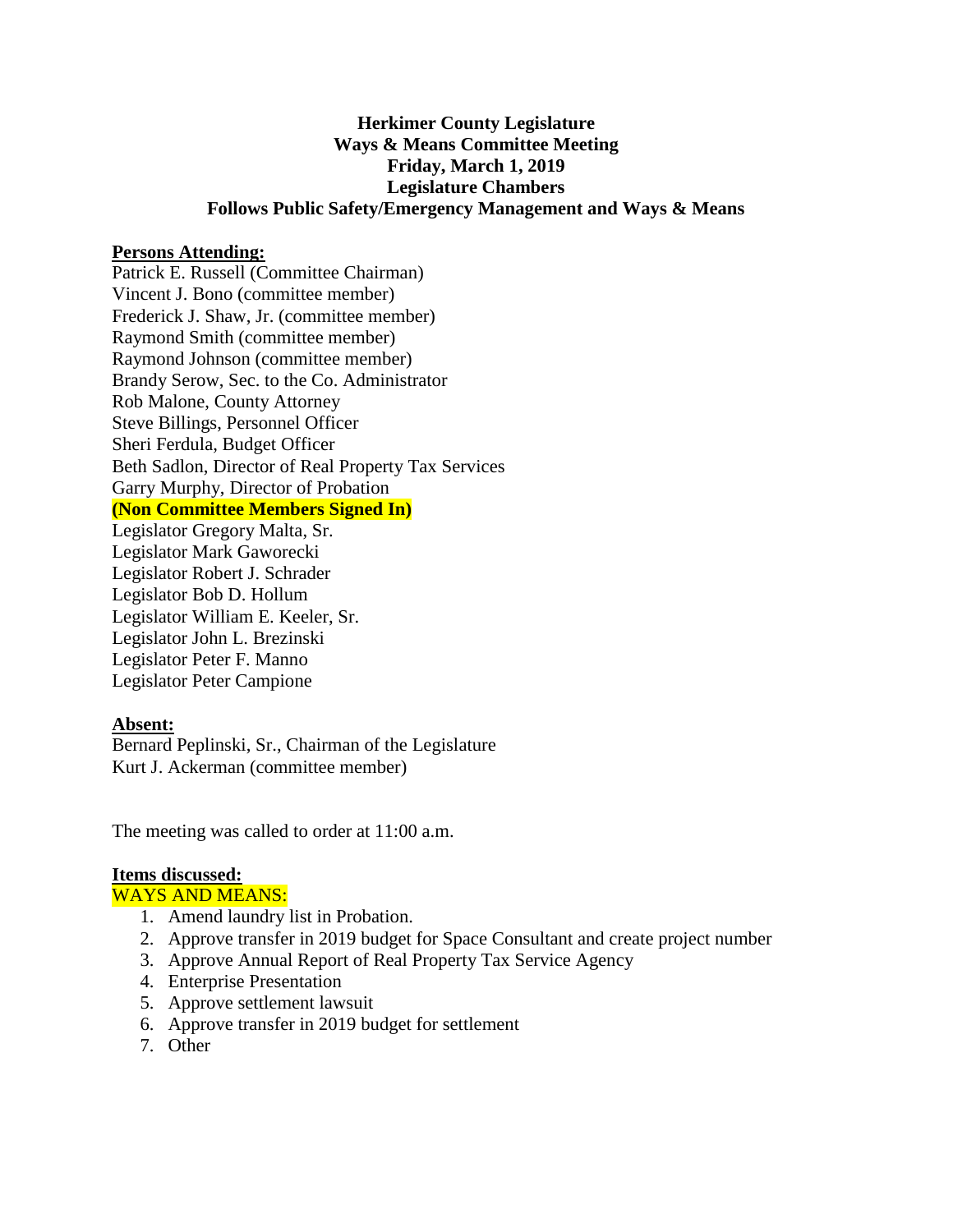## **Herkimer County Legislature Ways & Means Committee Meeting Friday, March 1, 2019 Legislature Chambers Follows Public Safety/Emergency Management and Ways & Means**

### **Persons Attending:**

Patrick E. Russell (Committee Chairman) Vincent J. Bono (committee member) Frederick J. Shaw, Jr. (committee member) Raymond Smith (committee member) Raymond Johnson (committee member) Brandy Serow, Sec. to the Co. Administrator Rob Malone, County Attorney Steve Billings, Personnel Officer Sheri Ferdula, Budget Officer Beth Sadlon, Director of Real Property Tax Services Garry Murphy, Director of Probation **(Non Committee Members Signed In)** Legislator Gregory Malta, Sr. Legislator Mark Gaworecki Legislator Robert J. Schrader Legislator Bob D. Hollum Legislator William E. Keeler, Sr. Legislator John L. Brezinski

Legislator Peter F. Manno Legislator Peter Campione

#### **Absent:**

Bernard Peplinski, Sr., Chairman of the Legislature Kurt J. Ackerman (committee member)

The meeting was called to order at 11:00 a.m.

## **Items discussed:**

#### WAYS AND MEANS:

- 1. Amend laundry list in Probation.
- 2. Approve transfer in 2019 budget for Space Consultant and create project number
- 3. Approve Annual Report of Real Property Tax Service Agency
- 4. Enterprise Presentation
- 5. Approve settlement lawsuit
- 6. Approve transfer in 2019 budget for settlement
- 7. Other